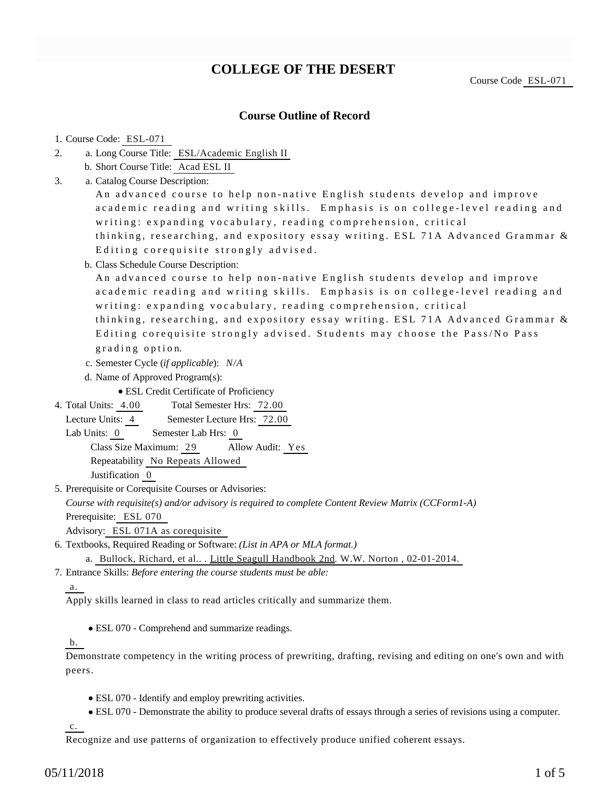# **COLLEGE OF THE DESERT**

Course Code ESL-071

## **Course Outline of Record**

#### 1. Course Code: ESL-071

- a. Long Course Title: ESL/Academic English II 2.
	- b. Short Course Title: Acad ESL II
- Catalog Course Description: a. 3.
	- An advanced course to help non-native English students develop and improve academic reading and writing skills. Emphasis is on college-level reading and writing: expanding vocabulary, reading comprehension, critical thinking, researching, and expository essay writing. ESL 71A Advanced Grammar & Editing corequisite strongly advised.
	- b. Class Schedule Course Description:

An advanced course to help non-native English students develop and improve academic reading and writing skills. Emphasis is on college-level reading and writing: expanding vocabulary, reading comprehension, critical thinking, researching, and expository essay writing. ESL 71A Advanced Grammar & Editing corequisite strongly advised. Students may choose the Pass/No Pass grading option.

- c. Semester Cycle (*if applicable*): *N/A*
- d. Name of Approved Program(s):

ESL Credit Certificate of Proficiency

- Total Semester Hrs: 72.00 4. Total Units: 4.00
	- Lecture Units: 4 Semester Lecture Hrs: 72.00
- Lab Units: 0 Semester Lab Hrs: 0

Class Size Maximum: 29 Allow Audit: Yes

Repeatability No Repeats Allowed

Justification 0

5. Prerequisite or Corequisite Courses or Advisories:

*Course with requisite(s) and/or advisory is required to complete Content Review Matrix (CCForm1-A)* Prerequisite: ESL 070

- Advisory: ESL 071A as corequisite
- 6. Textbooks, Required Reading or Software: (List in APA or MLA format.)

a. Bullock, Richard, et al.. . Little Seagull Handbook 2nd. W.W. Norton , 02-01-2014.

Entrance Skills: *Before entering the course students must be able:* 7.

### a.

Apply skills learned in class to read articles critically and summarize them.

ESL 070 - Comprehend and summarize readings.

## b.

Demonstrate competency in the writing process of prewriting, drafting, revising and editing on one's own and with peers.

- ESL 070 Identify and employ prewriting activities.
- ESL 070 Demonstrate the ability to produce several drafts of essays through a series of revisions using a computer.

c.

Recognize and use patterns of organization to effectively produce unified coherent essays.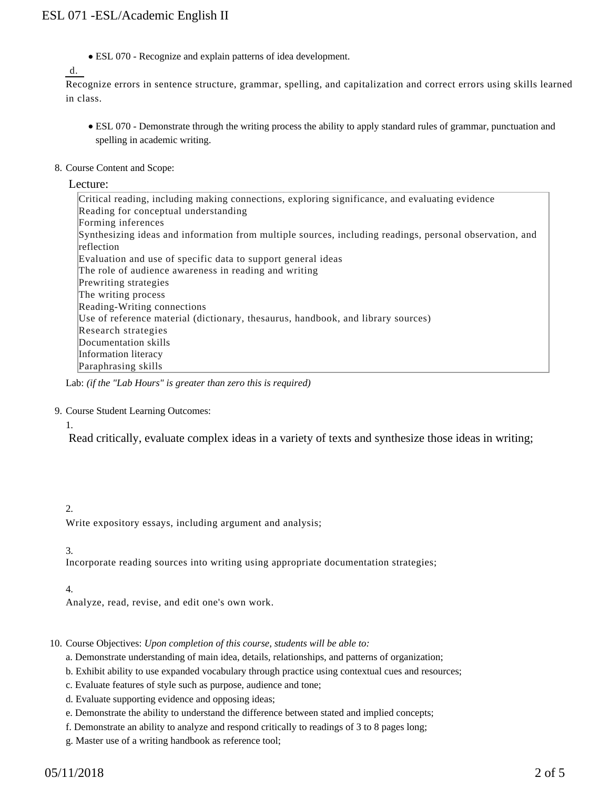ESL 070 - Recognize and explain patterns of idea development.

d.

Recognize errors in sentence structure, grammar, spelling, and capitalization and correct errors using skills learned in class.

- ESL 070 Demonstrate through the writing process the ability to apply standard rules of grammar, punctuation and spelling in academic writing.
- 8. Course Content and Scope:

Lecture:

Critical reading, including making connections, exploring significance, and evaluating evidence Reading for conceptual understanding Forming inferences Synthesizing ideas and information from multiple sources, including readings, personal observation, and reflection Evaluation and use of specific data to support general ideas The role of audience awareness in reading and writing Prewriting strategies The writing process Reading-Writing connections Use of reference material (dictionary, thesaurus, handbook, and library sources) Research strategies Documentation skills Information literacy Paraphrasing skills

Lab: *(if the "Lab Hours" is greater than zero this is required)*

#### 9. Course Student Learning Outcomes:

1.

Read critically, evaluate complex ideas in a variety of texts and synthesize those ideas in writing;

### $\mathcal{L}$

Write expository essays, including argument and analysis;

3.

Incorporate reading sources into writing using appropriate documentation strategies;

### 4.

Analyze, read, revise, and edit one's own work.

10. Course Objectives: Upon completion of this course, students will be able to:

- a. Demonstrate understanding of main idea, details, relationships, and patterns of organization;
- b. Exhibit ability to use expanded vocabulary through practice using contextual cues and resources;
- c. Evaluate features of style such as purpose, audience and tone;
- d. Evaluate supporting evidence and opposing ideas;
- e. Demonstrate the ability to understand the difference between stated and implied concepts;
- f. Demonstrate an ability to analyze and respond critically to readings of 3 to 8 pages long;
- g. Master use of a writing handbook as reference tool;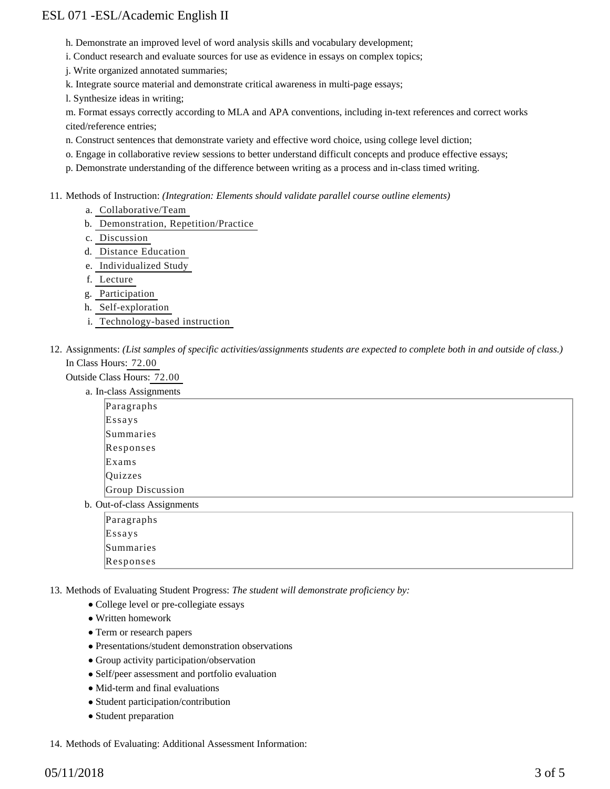# ESL 071 -ESL/Academic English II

- h. Demonstrate an improved level of word analysis skills and vocabulary development;
- i. Conduct research and evaluate sources for use as evidence in essays on complex topics;
- j. Write organized annotated summaries;
- k. Integrate source material and demonstrate critical awareness in multi-page essays;
- l. Synthesize ideas in writing;

m. Format essays correctly according to MLA and APA conventions, including in-text references and correct works cited/reference entries;

- n. Construct sentences that demonstrate variety and effective word choice, using college level diction;
- o. Engage in collaborative review sessions to better understand difficult concepts and produce effective essays;
- p. Demonstrate understanding of the difference between writing as a process and in-class timed writing.
- 11. Methods of Instruction: *(Integration: Elements should validate parallel course outline elements)* 
	- a. Collaborative/Team
	- b. Demonstration, Repetition/Practice
	- c. Discussion
	- d. Distance Education
	- e. Individualized Study
	- f. Lecture
	- g. Participation
	- h. Self-exploration
	- i. Technology-based instruction
- 12. Assignments: (List samples of specific activities/assignments students are expected to complete both in and outside of class.) In Class Hours: 72.00
	- Outside Class Hours: 72.00

| a. In-class Assignments     |                  |  |  |  |
|-----------------------------|------------------|--|--|--|
|                             | Paragraphs       |  |  |  |
|                             | Essays           |  |  |  |
|                             | Summaries        |  |  |  |
|                             | Responses        |  |  |  |
|                             | Exams            |  |  |  |
|                             | Quizzes          |  |  |  |
|                             | Group Discussion |  |  |  |
| b. Out-of-class Assignments |                  |  |  |  |
|                             | Paragraphs       |  |  |  |
|                             | Essays           |  |  |  |
|                             | Summaries        |  |  |  |
|                             | Responses        |  |  |  |

13. Methods of Evaluating Student Progress: The student will demonstrate proficiency by:

- College level or pre-collegiate essays
- Written homework
- Term or research papers
- Presentations/student demonstration observations
- Group activity participation/observation
- Self/peer assessment and portfolio evaluation
- Mid-term and final evaluations
- Student participation/contribution
- Student preparation
- 14. Methods of Evaluating: Additional Assessment Information: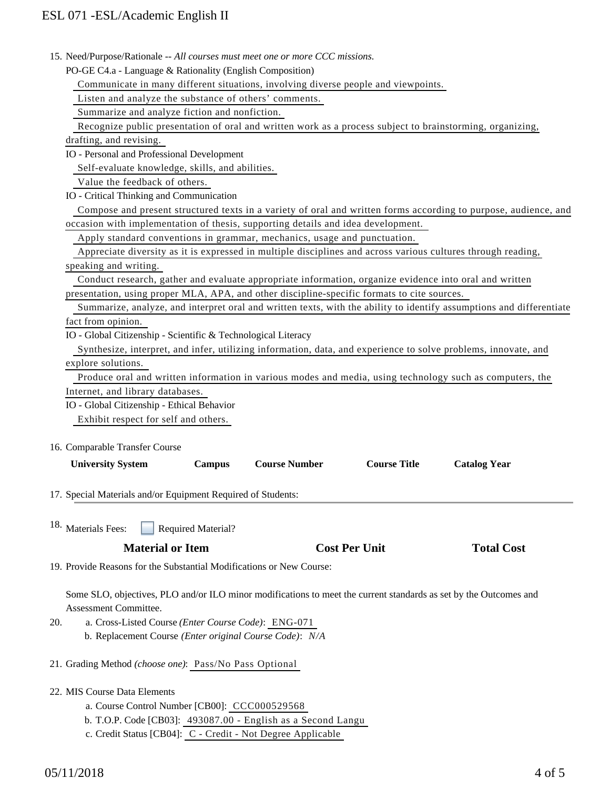# ESL 071 -ESL/Academic English II

| 15. Need/Purpose/Rationale -- All courses must meet one or more CCC missions.<br>PO-GE C4.a - Language & Rationality (English Composition)                                                                                                                          |                                                                                                                |                      |                     |                     |  |  |
|---------------------------------------------------------------------------------------------------------------------------------------------------------------------------------------------------------------------------------------------------------------------|----------------------------------------------------------------------------------------------------------------|----------------------|---------------------|---------------------|--|--|
| Communicate in many different situations, involving diverse people and viewpoints.                                                                                                                                                                                  |                                                                                                                |                      |                     |                     |  |  |
| Listen and analyze the substance of others' comments.                                                                                                                                                                                                               |                                                                                                                |                      |                     |                     |  |  |
| Summarize and analyze fiction and nonfiction.                                                                                                                                                                                                                       |                                                                                                                |                      |                     |                     |  |  |
|                                                                                                                                                                                                                                                                     |                                                                                                                |                      |                     |                     |  |  |
| Recognize public presentation of oral and written work as a process subject to brainstorming, organizing,                                                                                                                                                           |                                                                                                                |                      |                     |                     |  |  |
| drafting, and revising.                                                                                                                                                                                                                                             |                                                                                                                |                      |                     |                     |  |  |
| IO - Personal and Professional Development                                                                                                                                                                                                                          |                                                                                                                |                      |                     |                     |  |  |
| Self-evaluate knowledge, skills, and abilities.                                                                                                                                                                                                                     |                                                                                                                |                      |                     |                     |  |  |
| Value the feedback of others.                                                                                                                                                                                                                                       |                                                                                                                |                      |                     |                     |  |  |
| IO - Critical Thinking and Communication                                                                                                                                                                                                                            |                                                                                                                |                      |                     |                     |  |  |
| Compose and present structured texts in a variety of oral and written forms according to purpose, audience, and                                                                                                                                                     |                                                                                                                |                      |                     |                     |  |  |
| occasion with implementation of thesis, supporting details and idea development.                                                                                                                                                                                    |                                                                                                                |                      |                     |                     |  |  |
| Apply standard conventions in grammar, mechanics, usage and punctuation.                                                                                                                                                                                            |                                                                                                                |                      |                     |                     |  |  |
| Appreciate diversity as it is expressed in multiple disciplines and across various cultures through reading,                                                                                                                                                        |                                                                                                                |                      |                     |                     |  |  |
| speaking and writing.                                                                                                                                                                                                                                               |                                                                                                                |                      |                     |                     |  |  |
| Conduct research, gather and evaluate appropriate information, organize evidence into oral and written                                                                                                                                                              |                                                                                                                |                      |                     |                     |  |  |
| presentation, using proper MLA, APA, and other discipline-specific formats to cite sources.                                                                                                                                                                         |                                                                                                                |                      |                     |                     |  |  |
| Summarize, analyze, and interpret oral and written texts, with the ability to identify assumptions and differentiate                                                                                                                                                |                                                                                                                |                      |                     |                     |  |  |
| fact from opinion.                                                                                                                                                                                                                                                  |                                                                                                                |                      |                     |                     |  |  |
| IO - Global Citizenship - Scientific & Technological Literacy                                                                                                                                                                                                       |                                                                                                                |                      |                     |                     |  |  |
|                                                                                                                                                                                                                                                                     | Synthesize, interpret, and infer, utilizing information, data, and experience to solve problems, innovate, and |                      |                     |                     |  |  |
| explore solutions.                                                                                                                                                                                                                                                  |                                                                                                                |                      |                     |                     |  |  |
| Produce oral and written information in various modes and media, using technology such as computers, the                                                                                                                                                            |                                                                                                                |                      |                     |                     |  |  |
| Internet, and library databases.                                                                                                                                                                                                                                    |                                                                                                                |                      |                     |                     |  |  |
| IO - Global Citizenship - Ethical Behavior                                                                                                                                                                                                                          |                                                                                                                |                      |                     |                     |  |  |
| Exhibit respect for self and others.                                                                                                                                                                                                                                |                                                                                                                |                      |                     |                     |  |  |
| 16. Comparable Transfer Course                                                                                                                                                                                                                                      |                                                                                                                |                      |                     |                     |  |  |
| <b>University System</b><br><b>Campus</b>                                                                                                                                                                                                                           | <b>Course Number</b>                                                                                           |                      | <b>Course Title</b> | <b>Catalog Year</b> |  |  |
|                                                                                                                                                                                                                                                                     |                                                                                                                |                      |                     |                     |  |  |
| 17. Special Materials and/or Equipment Required of Students:                                                                                                                                                                                                        |                                                                                                                |                      |                     |                     |  |  |
| 18. Materials Fees:<br><b>Required Material?</b>                                                                                                                                                                                                                    |                                                                                                                |                      |                     |                     |  |  |
|                                                                                                                                                                                                                                                                     |                                                                                                                |                      |                     |                     |  |  |
| <b>Material or Item</b>                                                                                                                                                                                                                                             |                                                                                                                | <b>Cost Per Unit</b> |                     | <b>Total Cost</b>   |  |  |
| 19. Provide Reasons for the Substantial Modifications or New Course:                                                                                                                                                                                                |                                                                                                                |                      |                     |                     |  |  |
| Some SLO, objectives, PLO and/or ILO minor modifications to meet the current standards as set by the Outcomes and<br>Assessment Committee.<br>a. Cross-Listed Course (Enter Course Code): ENG-071<br>20.<br>b. Replacement Course (Enter original Course Code): N/A |                                                                                                                |                      |                     |                     |  |  |
| 21. Grading Method (choose one): Pass/No Pass Optional                                                                                                                                                                                                              |                                                                                                                |                      |                     |                     |  |  |

- 22. MIS Course Data Elements
	- a. Course Control Number [CB00]: CCC000529568
	- b. T.O.P. Code [CB03]: 493087.00 English as a Second Langu
	- c. Credit Status [CB04]: C Credit Not Degree Applicable